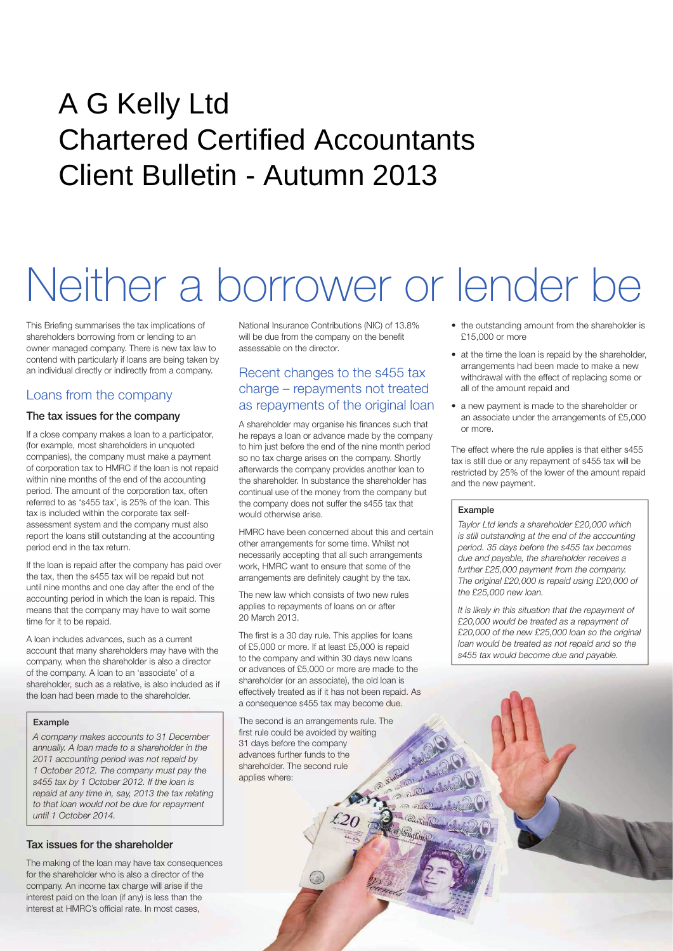# A G Kelly Ltd Chartered Certified Accountants Client Bulletin - Autumn 2013

# Neither a borrower or lender be

This Briefing summarises the tax implications of shareholders borrowing from or lending to an owner managed company. There is new tax law to contend with particularly if loans are being taken by an individual directly or indirectly from a company.

# Loans from the company

#### The tax issues for the company

If a close company makes a loan to a participator, (for example, most shareholders in unquoted companies), the company must make a payment of corporation tax to HMRC if the loan is not repaid within nine months of the end of the accounting period. The amount of the corporation tax, often referred to as 's455 tax', is 25% of the loan. This tax is included within the corporate tax selfassessment system and the company must also report the loans still outstanding at the accounting period end in the tax return.

If the loan is repaid after the company has paid over the tax, then the s455 tax will be repaid but not until nine months and one day after the end of the accounting period in which the loan is repaid. This means that the company may have to wait some time for it to be repaid.

A loan includes advances, such as a current account that many shareholders may have with the company, when the shareholder is also a director of the company. A loan to an 'associate' of a shareholder, such as a relative, is also included as if the loan had been made to the shareholder.

#### Example

*A company makes accounts to 31 December annually. A loan made to a shareholder in the 2011 accounting period was not repaid by 1 October 2012. The company must pay the s455 tax by 1 October 2012. If the loan is repaid at any time in, say, 2013 the tax relating to that loan would not be due for repayment until 1 October 2014.*

### Tax issues for the shareholder

The making of the loan may have tax consequences for the shareholder who is also a director of the company. An income tax charge will arise if the interest paid on the loan (if any) is less than the interest at HMRC's official rate. In most cases,

National Insurance Contributions (NIC) of 13.8% will be due from the company on the benefit assessable on the director.

# Recent changes to the s455 tax charge – repayments not treated as repayments of the original loan

A shareholder may organise his finances such that he repays a loan or advance made by the company to him just before the end of the nine month period so no tax charge arises on the company. Shortly afterwards the company provides another loan to the shareholder. In substance the shareholder has continual use of the money from the company but the company does not suffer the s455 tax that would otherwise arise.

HMRC have been concerned about this and certain other arrangements for some time. Whilst not necessarily accepting that all such arrangements work, HMRC want to ensure that some of the arrangements are definitely caught by the tax.

The new law which consists of two new rules applies to repayments of loans on or after 20 March 2013.

The first is a 30 day rule. This applies for loans of £5,000 or more. If at least £5,000 is repaid to the company and within 30 days new loans or advances of £5,000 or more are made to the shareholder (or an associate), the old loan is effectively treated as if it has not been repaid. As a consequence s455 tax may become due.

The second is an arrangements rule. The first rule could be avoided by waiting 31 days before the company advances further funds to the shareholder. The second rule applies where:

- the outstanding amount from the shareholder is £15,000 or more
- at the time the loan is repaid by the shareholder, arrangements had been made to make a new withdrawal with the effect of replacing some or all of the amount repaid and
- a new payment is made to the shareholder or an associate under the arrangements of £5,000 or more.

The effect where the rule applies is that either s455 tax is still due or any repayment of s455 tax will be restricted by 25% of the lower of the amount repaid and the new payment.

#### Example

*Taylor Ltd lends a shareholder £20,000 which is still outstanding at the end of the accounting period. 35 days before the s455 tax becomes due and payable, the shareholder receives a further £25,000 payment from the company. The original £20,000 is repaid using £20,000 of the £25,000 new loan.*

*It is likely in this situation that the repayment of £20,000 would be treated as a repayment of £20,000 of the new £25,000 loan so the original loan would be treated as not repaid and so the s455 tax would become due and payable.*